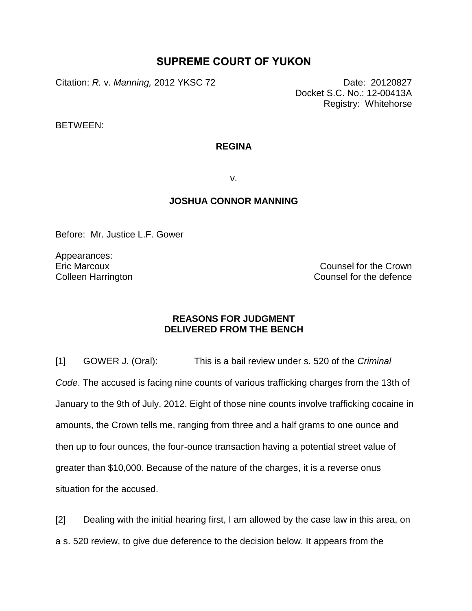## **SUPREME COURT OF YUKON**

Citation: *R. v. Manning,* 2012 YKSC 72 Date: 20120827

Docket S.C. No.: 12-00413A Registry: Whitehorse

BETWEEN:

## **REGINA**

v.

## **JOSHUA CONNOR MANNING**

Before: Mr. Justice L.F. Gower

Appearances: Eric Marcoux Colleen Harrington

Counsel for the Crown Counsel for the defence

## **REASONS FOR JUDGMENT DELIVERED FROM THE BENCH**

[1] GOWER J. (Oral): This is a bail review under s. 520 of the *Criminal Code*. The accused is facing nine counts of various trafficking charges from the 13th of January to the 9th of July, 2012. Eight of those nine counts involve trafficking cocaine in amounts, the Crown tells me, ranging from three and a half grams to one ounce and then up to four ounces, the four-ounce transaction having a potential street value of greater than \$10,000. Because of the nature of the charges, it is a reverse onus situation for the accused.

[2] Dealing with the initial hearing first, I am allowed by the case law in this area, on a s. 520 review, to give due deference to the decision below. It appears from the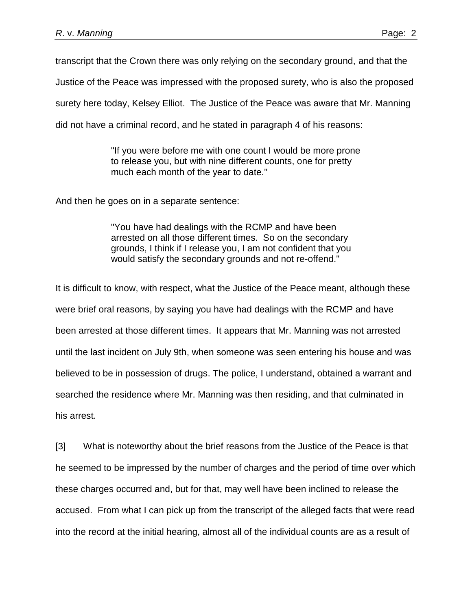transcript that the Crown there was only relying on the secondary ground, and that the

Justice of the Peace was impressed with the proposed surety, who is also the proposed

surety here today, Kelsey Elliot. The Justice of the Peace was aware that Mr. Manning

did not have a criminal record, and he stated in paragraph 4 of his reasons:

"If you were before me with one count I would be more prone to release you, but with nine different counts, one for pretty much each month of the year to date."

And then he goes on in a separate sentence:

"You have had dealings with the RCMP and have been arrested on all those different times. So on the secondary grounds, I think if I release you, I am not confident that you would satisfy the secondary grounds and not re-offend."

It is difficult to know, with respect, what the Justice of the Peace meant, although these were brief oral reasons, by saying you have had dealings with the RCMP and have been arrested at those different times. It appears that Mr. Manning was not arrested until the last incident on July 9th, when someone was seen entering his house and was believed to be in possession of drugs. The police, I understand, obtained a warrant and searched the residence where Mr. Manning was then residing, and that culminated in his arrest.

[3] What is noteworthy about the brief reasons from the Justice of the Peace is that he seemed to be impressed by the number of charges and the period of time over which these charges occurred and, but for that, may well have been inclined to release the accused. From what I can pick up from the transcript of the alleged facts that were read into the record at the initial hearing, almost all of the individual counts are as a result of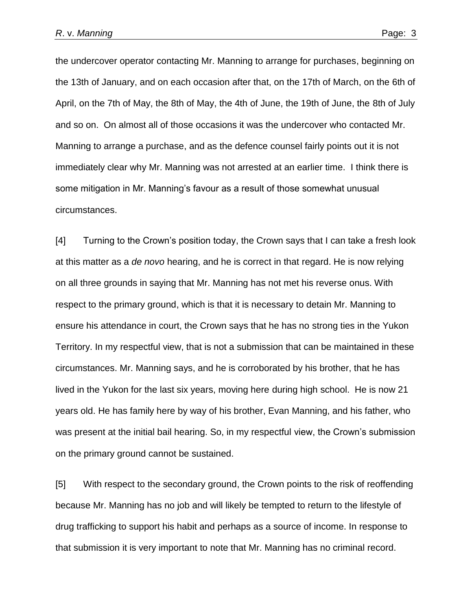the undercover operator contacting Mr. Manning to arrange for purchases, beginning on the 13th of January, and on each occasion after that, on the 17th of March, on the 6th of April, on the 7th of May, the 8th of May, the 4th of June, the 19th of June, the 8th of July and so on. On almost all of those occasions it was the undercover who contacted Mr. Manning to arrange a purchase, and as the defence counsel fairly points out it is not immediately clear why Mr. Manning was not arrested at an earlier time. I think there is some mitigation in Mr. Manning's favour as a result of those somewhat unusual circumstances.

[4] Turning to the Crown's position today, the Crown says that I can take a fresh look at this matter as a *de novo* hearing, and he is correct in that regard. He is now relying on all three grounds in saying that Mr. Manning has not met his reverse onus. With respect to the primary ground, which is that it is necessary to detain Mr. Manning to ensure his attendance in court, the Crown says that he has no strong ties in the Yukon Territory. In my respectful view, that is not a submission that can be maintained in these circumstances. Mr. Manning says, and he is corroborated by his brother, that he has lived in the Yukon for the last six years, moving here during high school. He is now 21 years old. He has family here by way of his brother, Evan Manning, and his father, who was present at the initial bail hearing. So, in my respectful view, the Crown's submission on the primary ground cannot be sustained.

[5] With respect to the secondary ground, the Crown points to the risk of reoffending because Mr. Manning has no job and will likely be tempted to return to the lifestyle of drug trafficking to support his habit and perhaps as a source of income. In response to that submission it is very important to note that Mr. Manning has no criminal record.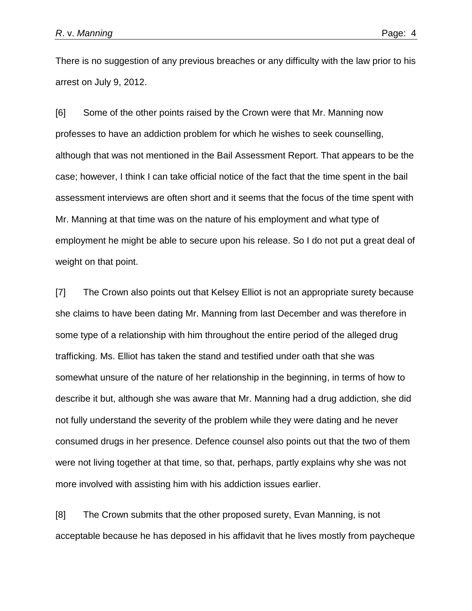There is no suggestion of any previous breaches or any difficulty with the law prior to his arrest on July 9, 2012.

[6] Some of the other points raised by the Crown were that Mr. Manning now professes to have an addiction problem for which he wishes to seek counselling, although that was not mentioned in the Bail Assessment Report. That appears to be the case; however, I think I can take official notice of the fact that the time spent in the bail assessment interviews are often short and it seems that the focus of the time spent with Mr. Manning at that time was on the nature of his employment and what type of employment he might be able to secure upon his release. So I do not put a great deal of weight on that point.

[7] The Crown also points out that Kelsey Elliot is not an appropriate surety because she claims to have been dating Mr. Manning from last December and was therefore in some type of a relationship with him throughout the entire period of the alleged drug trafficking. Ms. Elliot has taken the stand and testified under oath that she was somewhat unsure of the nature of her relationship in the beginning, in terms of how to describe it but, although she was aware that Mr. Manning had a drug addiction, she did not fully understand the severity of the problem while they were dating and he never consumed drugs in her presence. Defence counsel also points out that the two of them were not living together at that time, so that, perhaps, partly explains why she was not more involved with assisting him with his addiction issues earlier.

[8] The Crown submits that the other proposed surety, Evan Manning, is not acceptable because he has deposed in his affidavit that he lives mostly from paycheque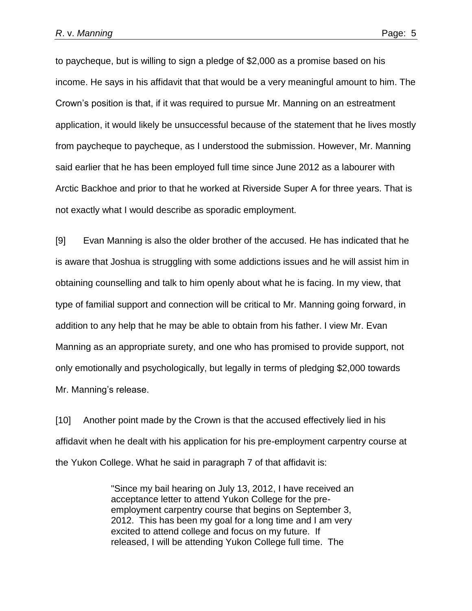to paycheque, but is willing to sign a pledge of \$2,000 as a promise based on his income. He says in his affidavit that that would be a very meaningful amount to him. The Crown's position is that, if it was required to pursue Mr. Manning on an estreatment application, it would likely be unsuccessful because of the statement that he lives mostly from paycheque to paycheque, as I understood the submission. However, Mr. Manning said earlier that he has been employed full time since June 2012 as a labourer with Arctic Backhoe and prior to that he worked at Riverside Super A for three years. That is not exactly what I would describe as sporadic employment.

[9] Evan Manning is also the older brother of the accused. He has indicated that he is aware that Joshua is struggling with some addictions issues and he will assist him in obtaining counselling and talk to him openly about what he is facing. In my view, that type of familial support and connection will be critical to Mr. Manning going forward, in addition to any help that he may be able to obtain from his father. I view Mr. Evan Manning as an appropriate surety, and one who has promised to provide support, not only emotionally and psychologically, but legally in terms of pledging \$2,000 towards Mr. Manning's release.

[10] Another point made by the Crown is that the accused effectively lied in his affidavit when he dealt with his application for his pre-employment carpentry course at the Yukon College. What he said in paragraph 7 of that affidavit is:

> "Since my bail hearing on July 13, 2012, I have received an acceptance letter to attend Yukon College for the preemployment carpentry course that begins on September 3, 2012. This has been my goal for a long time and I am very excited to attend college and focus on my future. If released, I will be attending Yukon College full time. The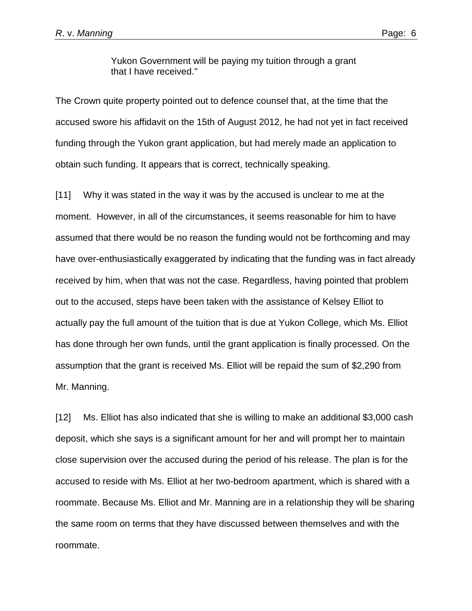Yukon Government will be paying my tuition through a grant that I have received."

The Crown quite property pointed out to defence counsel that, at the time that the accused swore his affidavit on the 15th of August 2012, he had not yet in fact received funding through the Yukon grant application, but had merely made an application to obtain such funding. It appears that is correct, technically speaking.

[11] Why it was stated in the way it was by the accused is unclear to me at the moment. However, in all of the circumstances, it seems reasonable for him to have assumed that there would be no reason the funding would not be forthcoming and may have over-enthusiastically exaggerated by indicating that the funding was in fact already received by him, when that was not the case. Regardless, having pointed that problem out to the accused, steps have been taken with the assistance of Kelsey Elliot to actually pay the full amount of the tuition that is due at Yukon College, which Ms. Elliot has done through her own funds, until the grant application is finally processed. On the assumption that the grant is received Ms. Elliot will be repaid the sum of \$2,290 from Mr. Manning.

[12] Ms. Elliot has also indicated that she is willing to make an additional \$3,000 cash deposit, which she says is a significant amount for her and will prompt her to maintain close supervision over the accused during the period of his release. The plan is for the accused to reside with Ms. Elliot at her two-bedroom apartment, which is shared with a roommate. Because Ms. Elliot and Mr. Manning are in a relationship they will be sharing the same room on terms that they have discussed between themselves and with the roommate.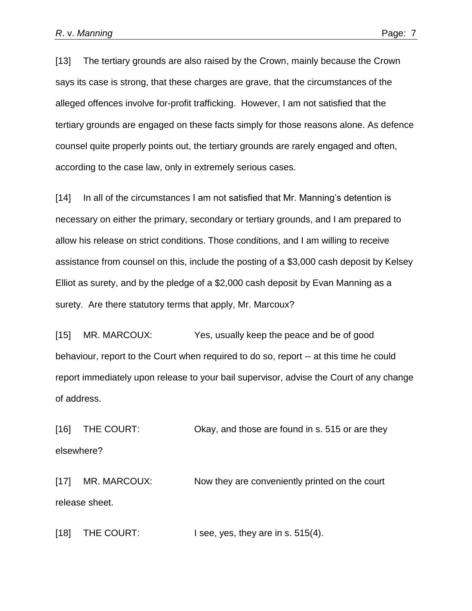[13] The tertiary grounds are also raised by the Crown, mainly because the Crown says its case is strong, that these charges are grave, that the circumstances of the alleged offences involve for-profit trafficking. However, I am not satisfied that the tertiary grounds are engaged on these facts simply for those reasons alone. As defence counsel quite properly points out, the tertiary grounds are rarely engaged and often, according to the case law, only in extremely serious cases.

[14] In all of the circumstances I am not satisfied that Mr. Manning's detention is necessary on either the primary, secondary or tertiary grounds, and I am prepared to allow his release on strict conditions. Those conditions, and I am willing to receive assistance from counsel on this, include the posting of a \$3,000 cash deposit by Kelsey Elliot as surety, and by the pledge of a \$2,000 cash deposit by Evan Manning as a surety. Are there statutory terms that apply, Mr. Marcoux?

[15] MR. MARCOUX: Yes, usually keep the peace and be of good behaviour, report to the Court when required to do so, report -- at this time he could report immediately upon release to your bail supervisor, advise the Court of any change of address.

[16] THE COURT: Okay, and those are found in s. 515 or are they elsewhere?

[17] MR. MARCOUX: Now they are conveniently printed on the court release sheet.

[18] THE COURT: I see, yes, they are in s. 515(4).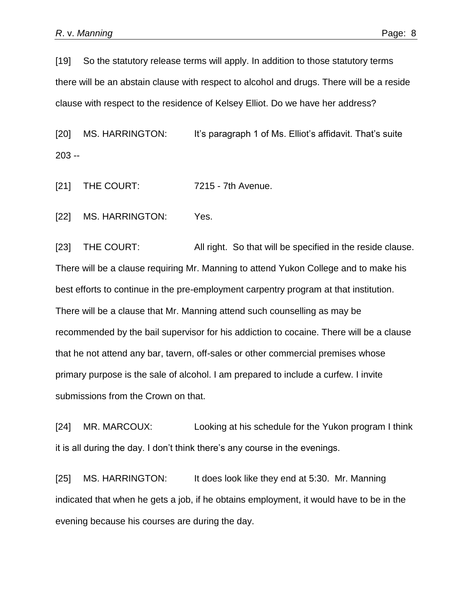[19] So the statutory release terms will apply. In addition to those statutory terms there will be an abstain clause with respect to alcohol and drugs. There will be a reside clause with respect to the residence of Kelsey Elliot. Do we have her address?

[20] MS. HARRINGTON: It's paragraph 1 of Ms. Elliot's affidavit. That's suite 203 --

[21] THE COURT: 7215 - 7th Avenue.

[22] MS. HARRINGTON: Yes.

[23] THE COURT: All right. So that will be specified in the reside clause. There will be a clause requiring Mr. Manning to attend Yukon College and to make his best efforts to continue in the pre-employment carpentry program at that institution. There will be a clause that Mr. Manning attend such counselling as may be recommended by the bail supervisor for his addiction to cocaine. There will be a clause that he not attend any bar, tavern, off-sales or other commercial premises whose primary purpose is the sale of alcohol. I am prepared to include a curfew. I invite submissions from the Crown on that.

[24] MR. MARCOUX: Looking at his schedule for the Yukon program I think it is all during the day. I don't think there's any course in the evenings.

[25] MS. HARRINGTON: It does look like they end at 5:30. Mr. Manning indicated that when he gets a job, if he obtains employment, it would have to be in the evening because his courses are during the day.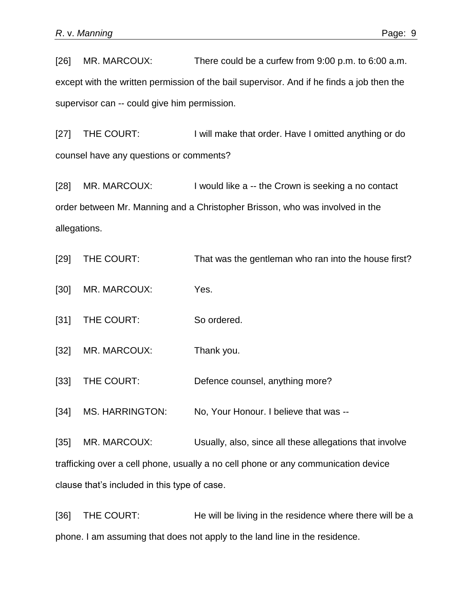[26] MR. MARCOUX: There could be a curfew from 9:00 p.m. to 6:00 a.m. except with the written permission of the bail supervisor. And if he finds a job then the supervisor can -- could give him permission.

[27] THE COURT: I will make that order. Have I omitted anything or do counsel have any questions or comments?

[28] MR. MARCOUX: I would like a -- the Crown is seeking a no contact order between Mr. Manning and a Christopher Brisson, who was involved in the allegations.

[29] THE COURT: That was the gentleman who ran into the house first?

[30] MR. MARCOUX: Yes.

[31] THE COURT: So ordered.

[32] MR. MARCOUX: Thank you.

[33] THE COURT: Defence counsel, anything more?

[34] MS. HARRINGTON: No, Your Honour. I believe that was --

[35] MR. MARCOUX: Usually, also, since all these allegations that involve trafficking over a cell phone, usually a no cell phone or any communication device clause that's included in this type of case.

[36] THE COURT: He will be living in the residence where there will be a phone. I am assuming that does not apply to the land line in the residence.